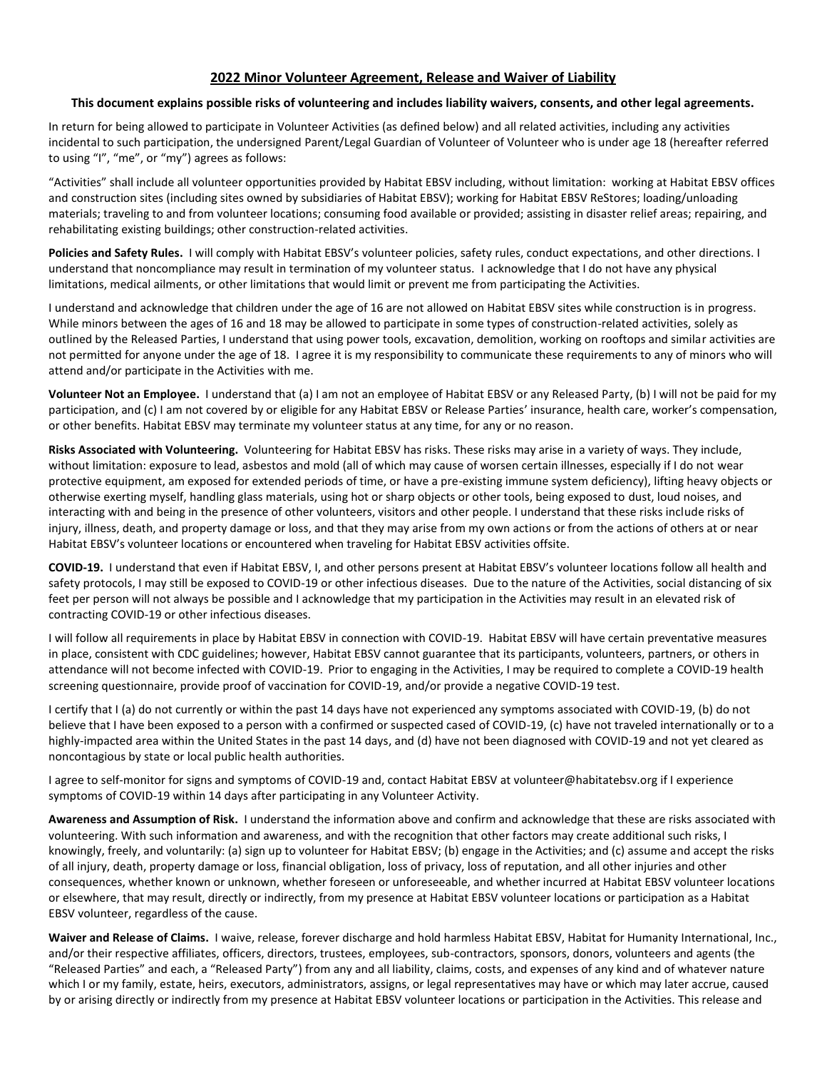## **2022 Minor Volunteer Agreement, Release and Waiver of Liability**

## **This document explains possible risks of volunteering and includes liability waivers, consents, and other legal agreements.**

In return for being allowed to participate in Volunteer Activities (as defined below) and all related activities, including any activities incidental to such participation, the undersigned Parent/Legal Guardian of Volunteer of Volunteer who is under age 18 (hereafter referred to using "I", "me", or "my") agrees as follows:

"Activities" shall include all volunteer opportunities provided by Habitat EBSV including, without limitation: working at Habitat EBSV offices and construction sites (including sites owned by subsidiaries of Habitat EBSV); working for Habitat EBSV ReStores; loading/unloading materials; traveling to and from volunteer locations; consuming food available or provided; assisting in disaster relief areas; repairing, and rehabilitating existing buildings; other construction-related activities.

**Policies and Safety Rules.** I will comply with Habitat EBSV's volunteer policies, safety rules, conduct expectations, and other directions. I understand that noncompliance may result in termination of my volunteer status. I acknowledge that I do not have any physical limitations, medical ailments, or other limitations that would limit or prevent me from participating the Activities.

I understand and acknowledge that children under the age of 16 are not allowed on Habitat EBSV sites while construction is in progress. While minors between the ages of 16 and 18 may be allowed to participate in some types of construction-related activities, solely as outlined by the Released Parties, I understand that using power tools, excavation, demolition, working on rooftops and similar activities are not permitted for anyone under the age of 18. I agree it is my responsibility to communicate these requirements to any of minors who will attend and/or participate in the Activities with me.

**Volunteer Not an Employee.** I understand that (a) I am not an employee of Habitat EBSV or any Released Party, (b) I will not be paid for my participation, and (c) I am not covered by or eligible for any Habitat EBSV or Release Parties' insurance, health care, worker's compensation, or other benefits. Habitat EBSV may terminate my volunteer status at any time, for any or no reason.

**Risks Associated with Volunteering.** Volunteering for Habitat EBSV has risks. These risks may arise in a variety of ways. They include, without limitation: exposure to lead, asbestos and mold (all of which may cause of worsen certain illnesses, especially if I do not wear protective equipment, am exposed for extended periods of time, or have a pre-existing immune system deficiency), lifting heavy objects or otherwise exerting myself, handling glass materials, using hot or sharp objects or other tools, being exposed to dust, loud noises, and interacting with and being in the presence of other volunteers, visitors and other people. I understand that these risks include risks of injury, illness, death, and property damage or loss, and that they may arise from my own actions or from the actions of others at or near Habitat EBSV's volunteer locations or encountered when traveling for Habitat EBSV activities offsite.

**COVID-19.** I understand that even if Habitat EBSV, I, and other persons present at Habitat EBSV's volunteer locations follow all health and safety protocols, I may still be exposed to COVID-19 or other infectious diseases. Due to the nature of the Activities, social distancing of six feet per person will not always be possible and I acknowledge that my participation in the Activities may result in an elevated risk of contracting COVID-19 or other infectious diseases.

I will follow all requirements in place by Habitat EBSV in connection with COVID-19. Habitat EBSV will have certain preventative measures in place, consistent with CDC guidelines; however, Habitat EBSV cannot guarantee that its participants, volunteers, partners, or others in attendance will not become infected with COVID-19. Prior to engaging in the Activities, I may be required to complete a COVID-19 health screening questionnaire, provide proof of vaccination for COVID-19, and/or provide a negative COVID-19 test.

I certify that I (a) do not currently or within the past 14 days have not experienced any symptoms associated with COVID-19, (b) do not believe that I have been exposed to a person with a confirmed or suspected cased of COVID-19, (c) have not traveled internationally or to a highly-impacted area within the United States in the past 14 days, and (d) have not been diagnosed with COVID-19 and not yet cleared as noncontagious by state or local public health authorities.

I agree to self-monitor for signs and symptoms of COVID-19 and, contact Habitat EBSV at volunteer@habitatebsv.org if I experience symptoms of COVID-19 within 14 days after participating in any Volunteer Activity.

**Awareness and Assumption of Risk.** I understand the information above and confirm and acknowledge that these are risks associated with volunteering. With such information and awareness, and with the recognition that other factors may create additional such risks, I knowingly, freely, and voluntarily: (a) sign up to volunteer for Habitat EBSV; (b) engage in the Activities; and (c) assume and accept the risks of all injury, death, property damage or loss, financial obligation, loss of privacy, loss of reputation, and all other injuries and other consequences, whether known or unknown, whether foreseen or unforeseeable, and whether incurred at Habitat EBSV volunteer locations or elsewhere, that may result, directly or indirectly, from my presence at Habitat EBSV volunteer locations or participation as a Habitat EBSV volunteer, regardless of the cause.

**Waiver and Release of Claims.** I waive, release, forever discharge and hold harmless Habitat EBSV, Habitat for Humanity International, Inc., and/or their respective affiliates, officers, directors, trustees, employees, sub-contractors, sponsors, donors, volunteers and agents (the "Released Parties" and each, a "Released Party") from any and all liability, claims, costs, and expenses of any kind and of whatever nature which I or my family, estate, heirs, executors, administrators, assigns, or legal representatives may have or which may later accrue, caused by or arising directly or indirectly from my presence at Habitat EBSV volunteer locations or participation in the Activities. This release and